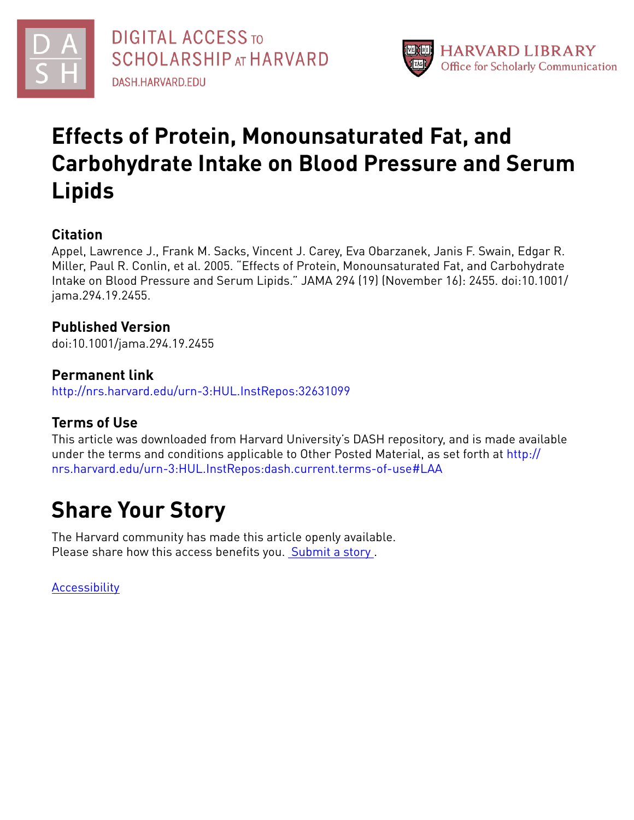



## **Effects of Protein, Monounsaturated Fat, and Carbohydrate Intake on Blood Pressure and Serum Lipids**

## **Citation**

Appel, Lawrence J., Frank M. Sacks, Vincent J. Carey, Eva Obarzanek, Janis F. Swain, Edgar R. Miller, Paul R. Conlin, et al. 2005. "Effects of Protein, Monounsaturated Fat, and Carbohydrate Intake on Blood Pressure and Serum Lipids." JAMA 294 (19) (November 16): 2455. doi:10.1001/ jama.294.19.2455.

## **Published Version**

doi:10.1001/jama.294.19.2455

## **Permanent link**

<http://nrs.harvard.edu/urn-3:HUL.InstRepos:32631099>

## **Terms of Use**

This article was downloaded from Harvard University's DASH repository, and is made available under the terms and conditions applicable to Other Posted Material, as set forth at [http://](http://nrs.harvard.edu/urn-3:HUL.InstRepos:dash.current.terms-of-use#LAA) [nrs.harvard.edu/urn-3:HUL.InstRepos:dash.current.terms-of-use#LAA](http://nrs.harvard.edu/urn-3:HUL.InstRepos:dash.current.terms-of-use#LAA)

## **Share Your Story**

The Harvard community has made this article openly available. Please share how this access benefits you. [Submit](http://osc.hul.harvard.edu/dash/open-access-feedback?handle=&title=Effects%20of%20Protein,%20Monounsaturated%20Fat,%20and%20Carbohydrate%20Intake%20on%20Blood%20Pressure%20and%20Serum%20Lipids&community=1/4454685&collection=1/4454686&owningCollection1/4454686&harvardAuthors=5868c79b7cd30ddb2144d8740f0b5cca&department) a story .

[Accessibility](https://dash.harvard.edu/pages/accessibility)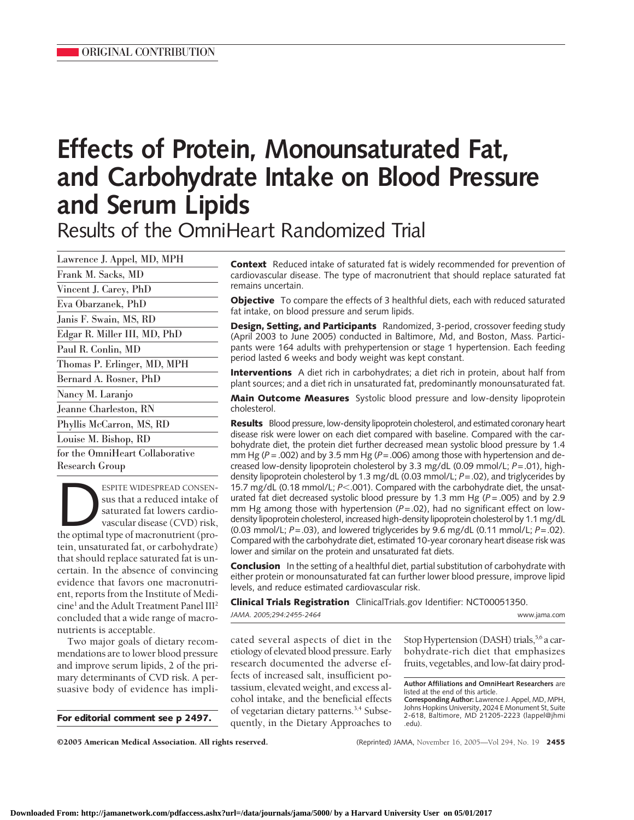# **Effects of Protein, Monounsaturated Fat, and Carbohydrate Intake on Blood Pressure and Serum Lipids**

Results of the OmniHeart Randomized Trial

| Lawrence J. Appel, MD, MPH      |  |
|---------------------------------|--|
| Frank M. Sacks, MD              |  |
| Vincent J. Carey, PhD           |  |
| Eva Obarzanek, PhD              |  |
| Janis F. Swain, MS, RD          |  |
| Edgar R. Miller III, MD, PhD    |  |
| Paul R. Conlin, MD              |  |
| Thomas P. Erlinger, MD, MPH     |  |
| Bernard A. Rosner, PhD          |  |
| Nancy M. Laranjo                |  |
| Jeanne Charleston, RN           |  |
| Phyllis McCarron, MS, RD        |  |
| Louise M. Bishop, RD            |  |
| for the OmniHeart Collaborative |  |
| Research Group                  |  |

ESPITE WIDESPREAD CONSEN-<br>
sus that a reduced intake of<br>
saturated fat lowers cardio-<br>
vascular disease (CVD) risk,<br>
the optimal type of macronutrient (prosus that a reduced intake of saturated fat lowers cardiovascular disease (CVD) risk, tein, unsaturated fat, or carbohydrate) that should replace saturated fat is uncertain. In the absence of convincing evidence that favors one macronutrient, reports from the Institute of Medi- $\text{cine}^1$  and the Adult Treatment Panel III<sup>2</sup> concluded that a wide range of macronutrients is acceptable.

Two major goals of dietary recommendations are to lower blood pressure and improve serum lipids, 2 of the primary determinants of CVD risk. A persuasive body of evidence has impli-

**For editorial comment see p 2497.**

**Context** Reduced intake of saturated fat is widely recommended for prevention of cardiovascular disease. The type of macronutrient that should replace saturated fat remains uncertain.

**Objective** To compare the effects of 3 healthful diets, each with reduced saturated fat intake, on blood pressure and serum lipids.

**Design, Setting, and Participants** Randomized, 3-period, crossover feeding study (April 2003 to June 2005) conducted in Baltimore, Md, and Boston, Mass. Participants were 164 adults with prehypertension or stage 1 hypertension. Each feeding period lasted 6 weeks and body weight was kept constant.

**Interventions** A diet rich in carbohydrates; a diet rich in protein, about half from plant sources; and a diet rich in unsaturated fat, predominantly monounsaturated fat.

**Main Outcome Measures** Systolic blood pressure and low-density lipoprotein cholesterol.

**Results** Blood pressure, low-density lipoprotein cholesterol, and estimated coronary heart disease risk were lower on each diet compared with baseline. Compared with the carbohydrate diet, the protein diet further decreased mean systolic blood pressure by 1.4 mm Hg ( $P = .002$ ) and by 3.5 mm Hg ( $P = .006$ ) among those with hypertension and decreased low-density lipoprotein cholesterol by 3.3 mg/dL (0.09 mmol/L; *P*=.01), highdensity lipoprotein cholesterol by 1.3 mg/dL (0.03 mmol/L; *P*=.02), and triglycerides by 15.7 mg/dL (0.18 mmol/L;  $P$ <.001). Compared with the carbohydrate diet, the unsaturated fat diet decreased systolic blood pressure by 1.3 mm Hg (*P* = .005) and by 2.9 mm Hg among those with hypertension ( $P = .02$ ), had no significant effect on lowdensity lipoprotein cholesterol, increased high-density lipoprotein cholesterol by 1.1 mg/dL (0.03 mmol/L; *P*=.03), and lowered triglycerides by 9.6 mg/dL (0.11 mmol/L; *P*=.02). Compared with the carbohydrate diet, estimated 10-year coronary heart disease risk was lower and similar on the protein and unsaturated fat diets.

**Conclusion** In the setting of a healthful diet, partial substitution of carbohydrate with either protein or monounsaturated fat can further lower blood pressure, improve lipid levels, and reduce estimated cardiovascular risk.

**Clinical Trials Registration** ClinicalTrials.gov Identifier: NCT00051350. *JAMA. 2005;294:2455-2464* www.jama.com

cated several aspects of diet in the etiology of elevated blood pressure. Early research documented the adverse effects of increased salt, insufficient potassium, elevated weight, and excess alcohol intake, and the beneficial effects of vegetarian dietary patterns.<sup>3,4</sup> Subsequently, in the Dietary Approaches to

Stop Hypertension (DASH) trials,<sup>5,6</sup> a carbohydrate-rich diet that emphasizes fruits, vegetables, and low-fat dairy prod-

**Author Affiliations and OmniHeart Researchers** are listed at the end of this article.

**Corresponding Author:** Lawrence J. Appel, MD, MPH, Johns Hopkins University, 2024 E Monument St, Suite 2-618, Baltimore, MD 21205-2223 (lappel@jhmi .edu).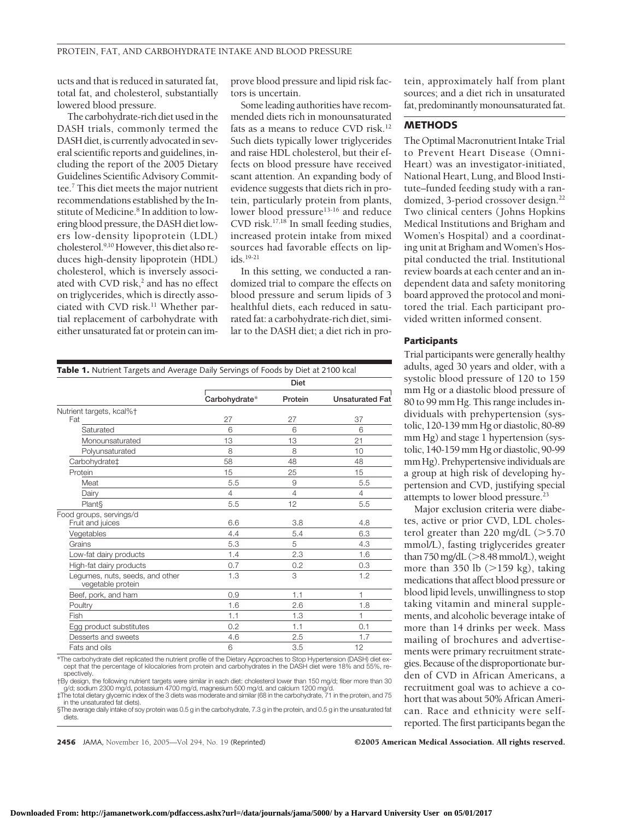ucts and that is reduced in saturated fat, total fat, and cholesterol, substantially lowered blood pressure.

The carbohydrate-rich diet usedin the DASH trials, commonly termed the DASH diet, is currently advocated in several scientific reports and guidelines, including the report of the 2005 Dietary Guidelines Scientific Advisory Committee.7 This diet meets the major nutrient recommendations established by the Institute of Medicine.<sup>8</sup> In addition to lowering blood pressure, the DASH diet lowers low-density lipoprotein (LDL) cholesterol.9,10 However, this diet also reduces high-density lipoprotein (HDL) cholesterol, which is inversely associated with CVD risk,<sup>2</sup> and has no effect on triglycerides, which is directly associated with CVD risk.<sup>11</sup> Whether partial replacement of carbohydrate with either unsaturated fat or protein can improve blood pressure and lipid risk factors is uncertain.

Some leading authorities have recommended diets rich in monounsaturated fats as a means to reduce CVD risk.<sup>12</sup> Such diets typically lower triglycerides and raise HDL cholesterol, but their effects on blood pressure have received scant attention. An expanding body of evidence suggests that diets rich in protein, particularly protein from plants, lower blood pressure<sup>13-16</sup> and reduce CVD risk.<sup>17,18</sup> In small feeding studies, increased protein intake from mixed sources had favorable effects on lip $ids$ <sup>19-21</sup>

In this setting, we conducted a randomized trial to compare the effects on blood pressure and serum lipids of 3 healthful diets, each reduced in saturated fat: a carbohydrate-rich diet, similar to the DASH diet; a diet rich in protein, approximately half from plant sources; and a diet rich in unsaturated fat, predominantly monounsaturated fat.

#### **METHODS**

The Optimal Macronutrient Intake Trial to Prevent Heart Disease (Omni-Heart) was an investigator-initiated, National Heart, Lung, and Blood Institute–funded feeding study with a randomized, 3-period crossover design.<sup>22</sup> Two clinical centers ( Johns Hopkins Medical Institutions and Brigham and Women's Hospital) and a coordinating unit at Brigham and Women's Hospital conducted the trial. Institutional review boards at each center and an independent data and safety monitoring board approved the protocol and monitored the trial. Each participant provided written informed consent.

#### **Participants**

Trial participants were generally healthy adults, aged 30 years and older, with a systolic blood pressure of 120 to 159 mm Hg or a diastolic blood pressure of 80 to 99 mm Hg. This range includes individuals with prehypertension (systolic, 120-139 mm Hg or diastolic, 80-89 mm Hg) and stage 1 hypertension (systolic, 140-159 mm Hg or diastolic, 90-99 mm Hg). Prehypertensive individuals are a group at high risk of developing hypertension and CVD, justifying special attempts to lower blood pressure.23

Major exclusion criteria were diabetes, active or prior CVD, LDL cholesterol greater than  $220$  mg/dL ( $>5.70$ mmol/L), fasting triglycerides greater than 750 mg/dL (>8.48 mmol/L), weight more than 350 lb  $(>159$  kg), taking medications that affect blood pressure or blood lipid levels, unwillingness to stop taking vitamin and mineral supplements, and alcoholic beverage intake of more than 14 drinks per week. Mass mailing of brochures and advertisements were primary recruitment strategies. Because of the disproportionate burden of CVD in African Americans, a recruitment goal was to achieve a cohort that was about 50% African American. Race and ethnicity were selfreported. The first participants began the

|                                                      | Diet           |                |                        |  |
|------------------------------------------------------|----------------|----------------|------------------------|--|
|                                                      | Carbohydrate*  | Protein        | <b>Unsaturated Fat</b> |  |
| Nutrient targets, kcal%†                             |                |                |                        |  |
| Fat                                                  | 27             | 27             | 37                     |  |
| Saturated                                            | 6              | 6              | 6                      |  |
| Monounsaturated                                      | 13             | 13             | 21                     |  |
| Polyunsaturated                                      | 8              | 8              | 10                     |  |
| Carbohydrate <sup>+</sup>                            | 58             | 48             | 48                     |  |
| Protein                                              | 15             | 25             | 15                     |  |
| Meat                                                 | 5.5            | 9              | 5.5                    |  |
| Dairy                                                | $\overline{4}$ | $\overline{4}$ | 4                      |  |
| Plant <sub>§</sub>                                   | 5.5            | 12             | 5.5                    |  |
| Food groups, servings/d                              |                |                |                        |  |
| Fruit and juices                                     | 6.6            | 3.8            | 4.8                    |  |
| Vegetables                                           | 4.4            | 5.4            | 6.3                    |  |
| Grains                                               | 5.3            | 5              | 4.3                    |  |
| Low-fat dairy products                               | 1.4            | 2.3            | 1.6                    |  |
| High-fat dairy products                              | 0.7            | 0.2            | 0.3                    |  |
| Legumes, nuts, seeds, and other<br>vegetable protein | 1.3            | 3              | 1.2                    |  |
| Beef, pork, and ham                                  | 0.9            | 1.1            | 1                      |  |
| Poultry                                              | 1.6            | 2.6            | 1.8                    |  |
| Fish                                                 | 1.1            | 1.3            | 1                      |  |
| Egg product substitutes                              | 0.2            | 1.1            | 0.1                    |  |
| Desserts and sweets                                  | 4.6            | 2.5            | 1.7                    |  |
| Fats and oils                                        | 6              | 3.5            | 12                     |  |

**Table 1.** Nutrient Targets and Average Daily Servings of Foods by Diet at 2100 kcal

\*The carbohydrate diet replicated the nutrient profile of the Dietary Approaches to Stop Hypertension (DASH) diet ex-<br>-cept that the percentage of kilocalories from protein and carbohydrates in the DASH diet were 18% and 5 spectively. †By design, the following nutrient targets were similar in each diet: cholesterol lower than 150 mg/d; fiber more than 30

g/d; sodium 2300 mg/d, potassium 4700 mg/d, magnesium 500 mg/d, and calcium 1200 mg/d. ‡The total dietary glycemic index of the 3 diets was moderate and similar (68 in the carbohydrate, 71 in the protein, and 75

in the unsaturated fat diets). §The average daily intake of soy protein was 0.5 g in the carbohydrate, 7.3 g in the protein, and 0.5 g in the unsaturated fat diets.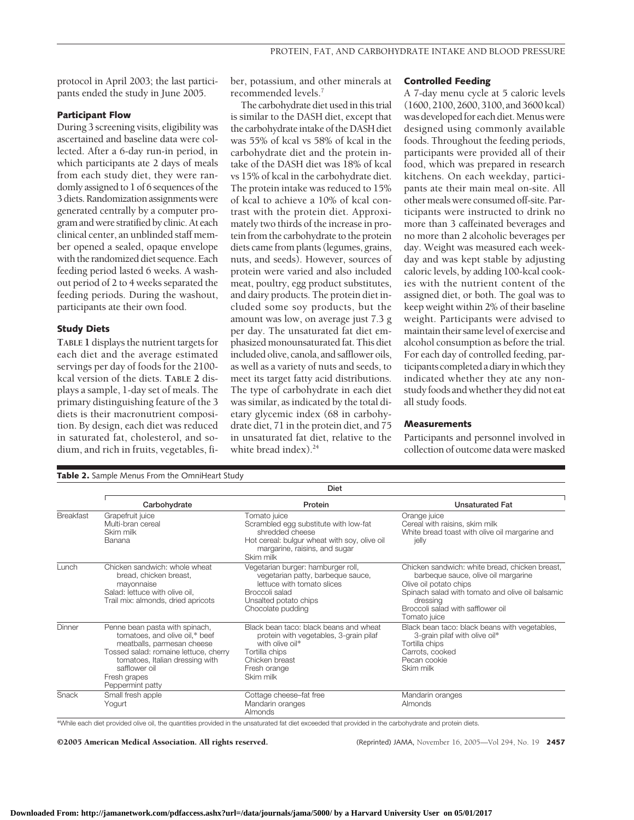protocol in April 2003; the last participants ended the study in June 2005.

#### **Participant Flow**

During 3 screening visits, eligibility was ascertained and baseline data were collected. After a 6-day run-in period, in which participants ate 2 days of meals from each study diet, they were randomly assigned to 1 of 6 sequences of the 3 diets. Randomization assignments were generated centrally by a computer program and were stratified by clinic.At each clinical center, an unblinded staff member opened a sealed, opaque envelope with the randomized diet sequence. Each feeding period lasted 6 weeks. A washout period of 2 to 4 weeks separated the feeding periods. During the washout, participants ate their own food.

#### **Study Diets**

**TABLE 1** displays the nutrient targets for each diet and the average estimated servings per day of foods for the 2100 kcal version of the diets. **TABLE 2** displays a sample, 1-day set of meals. The primary distinguishing feature of the 3 diets is their macronutrient composition. By design, each diet was reduced in saturated fat, cholesterol, and sodium, and rich in fruits, vegetables, fi-

Table 2. Sample Menus From the OmniHeart Study

ber, potassium, and other minerals at recommended levels.7

The carbohydrate diet used in this trial is similar to the DASH diet, except that the carbohydrate intake of the DASH diet was 55% of kcal vs 58% of kcal in the carbohydrate diet and the protein intake of the DASH diet was 18% of kcal vs 15% of kcal in the carbohydrate diet. The protein intake was reduced to 15% of kcal to achieve a 10% of kcal contrast with the protein diet. Approximately two thirds of the increase in protein from the carbohydrate to the protein diets came from plants (legumes, grains, nuts, and seeds). However, sources of protein were varied and also included meat, poultry, egg product substitutes, and dairy products. The protein diet included some soy products, but the amount was low, on average just 7.3 g per day. The unsaturated fat diet emphasized monounsaturated fat. This diet included olive, canola, and safflower oils, as well as a variety of nuts and seeds, to meet its target fatty acid distributions. The type of carbohydrate in each diet was similar, as indicated by the total dietary glycemic index (68 in carbohydrate diet, 71 in the protein diet, and 75 in unsaturated fat diet, relative to the white bread index).<sup>24</sup>

#### **Controlled Feeding**

A 7-day menu cycle at 5 caloric levels (1600, 2100, 2600, 3100, and 3600 kcal) was developed for each diet. Menus were designed using commonly available foods. Throughout the feeding periods, participants were provided all of their food, which was prepared in research kitchens. On each weekday, participants ate their main meal on-site. All othermeals were consumed off-site. Participants were instructed to drink no more than 3 caffeinated beverages and no more than 2 alcoholic beverages per day. Weight was measured each weekday and was kept stable by adjusting caloric levels, by adding 100-kcal cookies with the nutrient content of the assigned diet, or both. The goal was to keep weight within 2% of their baseline weight. Participants were advised to maintain their samelevel of exercise and alcohol consumption as before the trial. For each day of controlled feeding, participants completed a diaryin which they indicated whether they ate any nonstudy foods and whether they did not eat all study foods.

#### **Measurements**

Participants and personnel involved in collection of outcome data were masked

|                  | Diet                                                                                                                                                                                                                            |                                                                                                                                                                        |                                                                                                                                                                                                                                      |  |  |  |
|------------------|---------------------------------------------------------------------------------------------------------------------------------------------------------------------------------------------------------------------------------|------------------------------------------------------------------------------------------------------------------------------------------------------------------------|--------------------------------------------------------------------------------------------------------------------------------------------------------------------------------------------------------------------------------------|--|--|--|
|                  | Carbohydrate                                                                                                                                                                                                                    | Protein                                                                                                                                                                | <b>Unsaturated Fat</b>                                                                                                                                                                                                               |  |  |  |
| <b>Breakfast</b> | Grapefruit juice<br>Multi-bran cereal<br>Skim milk<br>Banana                                                                                                                                                                    | Tomato juice<br>Scrambled egg substitute with low-fat<br>shredded cheese<br>Hot cereal: bulgur wheat with soy, olive oil<br>margarine, raisins, and sugar<br>Skim milk | Orange juice<br>Cereal with raisins, skim milk<br>White bread toast with olive oil margarine and<br>jelly                                                                                                                            |  |  |  |
| Lunch            | Chicken sandwich: whole wheat<br>bread, chicken breast,<br>mayonnaise<br>Salad: lettuce with olive oil.<br>Trail mix: almonds, dried apricots                                                                                   | Vegetarian burger: hamburger roll,<br>vegetarian patty, barbegue sauce,<br>lettuce with tomato slices<br>Broccoli salad<br>Unsalted potato chips<br>Chocolate pudding  | Chicken sandwich: white bread, chicken breast,<br>barbeque sauce, olive oil margarine<br>Olive oil potato chips<br>Spinach salad with tomato and olive oil balsamic<br>dressing<br>Broccoli salad with safflower oil<br>Tomato juice |  |  |  |
| Dinner           | Penne bean pasta with spinach,<br>tomatoes, and olive oil,* beef<br>meatballs, parmesan cheese<br>Tossed salad: romaine lettuce, cherry<br>tomatoes, Italian dressing with<br>safflower oil<br>Fresh grapes<br>Peppermint patty | Black bean taco: black beans and wheat<br>protein with vegetables, 3-grain pilaf<br>with olive oil*<br>Tortilla chips<br>Chicken breast<br>Fresh orange<br>Skim milk   | Black bean taco: black beans with vegetables,<br>3-grain pilaf with olive oil*<br>Tortilla chips<br>Carrots, cooked<br>Pecan cookie<br>Skim milk                                                                                     |  |  |  |
| Snack            | Small fresh apple<br>Yogurt                                                                                                                                                                                                     | Cottage cheese–fat free<br>Mandarin oranges<br>Almonds                                                                                                                 | Mandarin oranges<br><b>Almonds</b>                                                                                                                                                                                                   |  |  |  |

\*While each diet provided olive oil, the quantities provided in the unsaturated fat diet exceeded that provided in the carbohydrate and protein diets.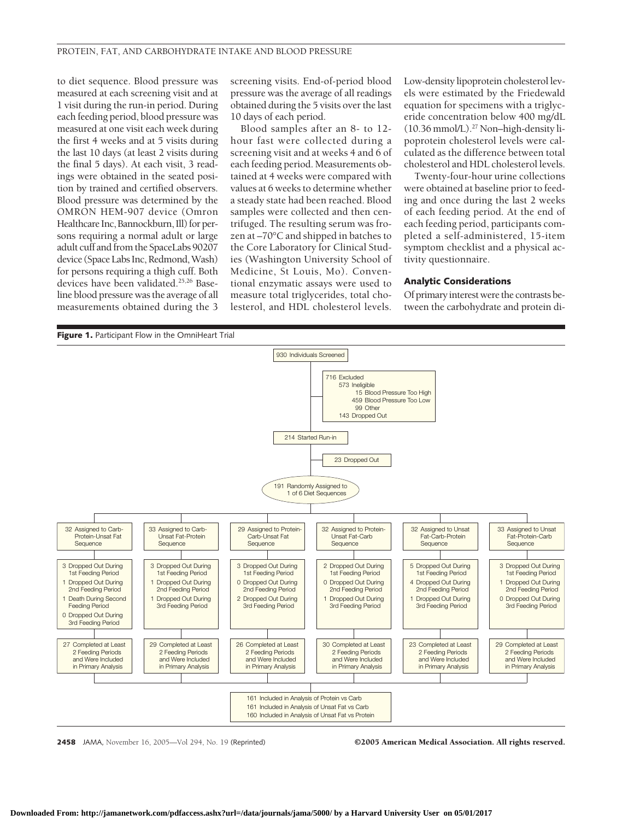to diet sequence. Blood pressure was measured at each screening visit and at 1 visit during the run-in period. During each feeding period, blood pressure was measured at one visit each week during the first 4 weeks and at 5 visits during the last 10 days (at least 2 visits during the final 5 days). At each visit, 3 readings were obtained in the seated position by trained and certified observers. Blood pressure was determined by the OMRON HEM-907 device (Omron Healthcare Inc, Bannockburn, Ill) for persons requiring a normal adult or large adult cuff and from the SpaceLabs 90207 device (Space Labs Inc, Redmond, Wash) for persons requiring a thigh cuff. Both devices have been validated.<sup>25,26</sup> Baseline blood pressure was the average of all measurements obtained during the 3

screening visits. End-of-period blood pressure was the average of all readings obtained during the 5 visits over the last 10 days of each period.

Blood samples after an 8- to 12 hour fast were collected during a screening visit and at weeks 4 and 6 of each feeding period. Measurements obtained at 4 weeks were compared with values at 6 weeks to determine whether a steady state had been reached. Blood samples were collected and then centrifuged. The resulting serum was frozen at –70°C and shipped in batches to the Core Laboratory for Clinical Studies (Washington University School of Medicine, St Louis, Mo). Conventional enzymatic assays were used to measure total triglycerides, total cholesterol, and HDL cholesterol levels.

Low-density lipoprotein cholesterol levels were estimated by the Friedewald equation for specimens with a triglyceride concentration below 400 mg/dL (10.36 mmol/L).27 Non–high-density lipoprotein cholesterol levels were calculated as the difference between total cholesterol and HDL cholesterol levels.

Twenty-four-hour urine collections were obtained at baseline prior to feeding and once during the last 2 weeks of each feeding period. At the end of each feeding period, participants completed a self-administered, 15-item symptom checklist and a physical activity questionnaire.

#### **Analytic Considerations**

Of primary interest were the contrasts between the carbohydrate and protein di-



**2458** JAMA, November 16, 2005—Vol 294, No. 19 (Reprinted) ©2005 American Medical Association. All rights reserved.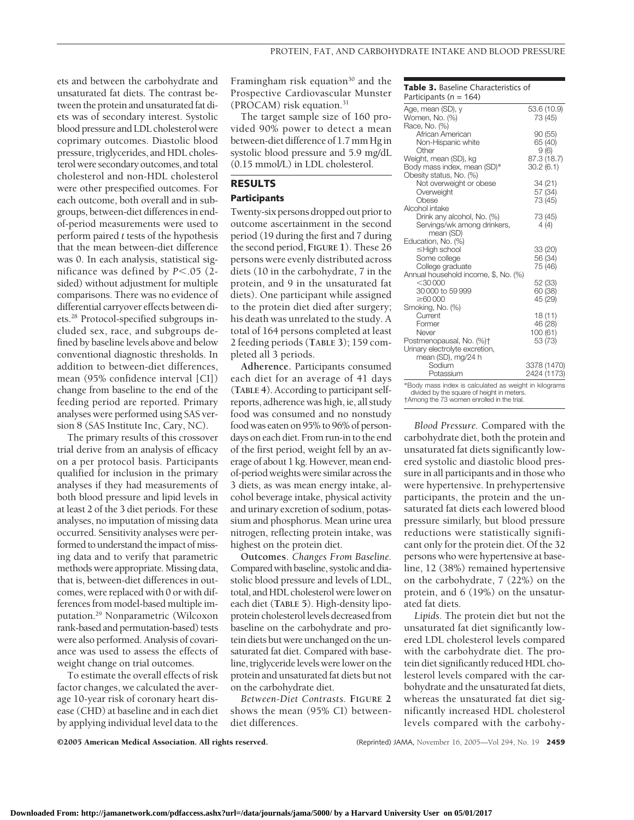ets and between the carbohydrate and unsaturated fat diets. The contrast between the protein and unsaturated fat diets was of secondary interest. Systolic blood pressure and LDL cholesterol were coprimary outcomes. Diastolic blood pressure, triglycerides, and HDL cholesterol were secondary outcomes, and total cholesterol and non-HDL cholesterol were other prespecified outcomes. For each outcome, both overall and in subgroups, between-diet differences in endof-period measurements were used to perform paired *t* tests of the hypothesis that the mean between-diet difference was 0. In each analysis, statistical significance was defined by  $P < .05$  (2sided) without adjustment for multiple comparisons. There was no evidence of differential carryover effects between diets.28 Protocol-specified subgroups included sex, race, and subgroups defined by baseline levels above and below conventional diagnostic thresholds. In addition to between-diet differences, mean (95% confidence interval [CI]) change from baseline to the end of the feeding period are reported. Primary analyses were performed using SAS version 8 (SAS Institute Inc, Cary, NC).

The primary results of this crossover trial derive from an analysis of efficacy on a per protocol basis. Participants qualified for inclusion in the primary analyses if they had measurements of both blood pressure and lipid levels in at least 2 of the 3 diet periods. For these analyses, no imputation of missing data occurred. Sensitivity analyses were performed to understand the impact of missing data and to verify that parametric methods were appropriate. Missing data, that is, between-diet differences in outcomes, were replaced with 0 or with differences from model-based multiple imputation.29 Nonparametric (Wilcoxon rank-based and permutation-based) tests were also performed. Analysis of covariance was used to assess the effects of weight change on trial outcomes.

To estimate the overall effects of risk factor changes, we calculated the average 10-year risk of coronary heart disease (CHD) at baseline and in each diet by applying individual level data to the

Framingham risk equation $30$  and the Prospective Cardiovascular Munster (PROCAM) risk equation.31

The target sample size of 160 provided 90% power to detect a mean between-diet difference of 1.7 mm Hg in systolic blood pressure and 5.9 mg/dL (0.15 mmol/L) in LDL cholesterol.

## **RESULTS**

### **Participants**

Twenty-six persons dropped out prior to outcome ascertainment in the second period (19 during the first and 7 during the second period, **FIGURE 1**). These 26 persons were evenly distributed across diets (10 in the carbohydrate, 7 in the protein, and 9 in the unsaturated fat diets). One participant while assigned to the protein diet died after surgery; his death was unrelated to the study. A total of 164 persons completed at least 2 feeding periods (**TABLE 3**); 159 completed all 3 periods.

**Adherence.** Participants consumed each diet for an average of 41 days (**TABLE 4**). According to participant selfreports, adherence was high, ie, all study food was consumed and no nonstudy food was eaten on 95% to 96% of persondays on each diet. From run-in to the end of the first period, weight fell by an average of about 1 kg. However, mean endof-period weights were similar across the 3 diets, as was mean energy intake, alcohol beverage intake, physical activity and urinary excretion of sodium, potassium and phosphorus. Mean urine urea nitrogen, reflecting protein intake, was highest on the protein diet.

**Outcomes**. *Changes From Baseline.* Compared with baseline, systolic and diastolic blood pressure and levels of LDL, total, and HDL cholesterol were lower on each diet (**TABLE 5**). High-density lipoprotein cholesterol levels decreased from baseline on the carbohydrate and protein diets but were unchanged on the unsaturated fat diet. Compared with baseline, triglyceride levels were lower on the protein and unsaturated fat diets but not on the carbohydrate diet.

*Between-Diet Contrasts.* **FIGURE 2** shows the mean (95% CI) betweendiet differences.

**Table 3.** Baseline Characteristics of Participants  $(n - 164)$ 

| $\mu$ and copanics $\mu_1 - \mu_2$                    |           |                        |
|-------------------------------------------------------|-----------|------------------------|
| Age, mean (SD), y<br>Women, No. (%)                   |           | 53.6 (10.9)<br>73 (45) |
| Race, No. (%)                                         |           |                        |
| African American                                      |           | 90(55)                 |
| Non-Hispanic white                                    |           | 65 (40)                |
| Other                                                 |           | 9(6)                   |
| Weight, mean (SD), kg                                 |           | 87.3 (18.7)            |
| Body mass index, mean (SD)*                           | 30.2(6.1) |                        |
| Obesity status, No. (%)                               |           |                        |
| Not overweight or obese                               |           | 34 (21)                |
| Overweight                                            |           | 57 (34)                |
| Obese                                                 |           | 73 (45)                |
| Alcohol intake                                        |           |                        |
| Drink any alcohol, No. (%)                            |           | 73 (45)                |
| Servings/wk among drinkers,                           |           | 4(4)                   |
| mean (SD)                                             |           |                        |
| Education, No. (%)                                    |           |                        |
| ≤High school                                          |           | 33 (20)                |
| Some college                                          |           | 56 (34)                |
| College graduate                                      |           | 75 (46)                |
| Annual household income, \$, No. (%)                  |           |                        |
| $<$ 30000                                             |           | 52 (33)                |
| 30 000 to 59 999                                      |           | 60 (38)                |
| $\geq 60000$                                          |           | 45 (29)                |
| Smoking, No. (%)                                      |           |                        |
| Current                                               |           | 18 (11)                |
| Former                                                |           | 46 (28)                |
| Never                                                 | 100 (61)  |                        |
| Postmenopausal, No. (%)†                              |           | 53 (73)                |
| Urinary electrolyte excretion,                        |           |                        |
| mean (SD), mg/24 h                                    |           |                        |
| Sodium                                                |           | 3378 (1470)            |
| Potassium                                             |           | 2424 (1173)            |
| *Body mass index is calculated as weight in kilograms |           |                        |
| divided by the square of height in meters.            |           |                        |

†Among the 73 women enrolled in the trial.

*Blood Pressure.* Compared with the carbohydrate diet, both the protein and unsaturated fat diets significantly lowered systolic and diastolic blood pressure in all participants and in those who were hypertensive. In prehypertensive participants, the protein and the unsaturated fat diets each lowered blood pressure similarly, but blood pressure reductions were statistically significant only for the protein diet. Of the 32 persons who were hypertensive at baseline, 12 (38%) remained hypertensive on the carbohydrate, 7 (22%) on the protein, and 6 (19%) on the unsaturated fat diets.

*Lipids.* The protein diet but not the unsaturated fat diet significantly lowered LDL cholesterol levels compared with the carbohydrate diet. The protein diet significantly reduced HDL cholesterol levels compared with the carbohydrate and the unsaturated fat diets, whereas the unsaturated fat diet significantly increased HDL cholesterol levels compared with the carbohy-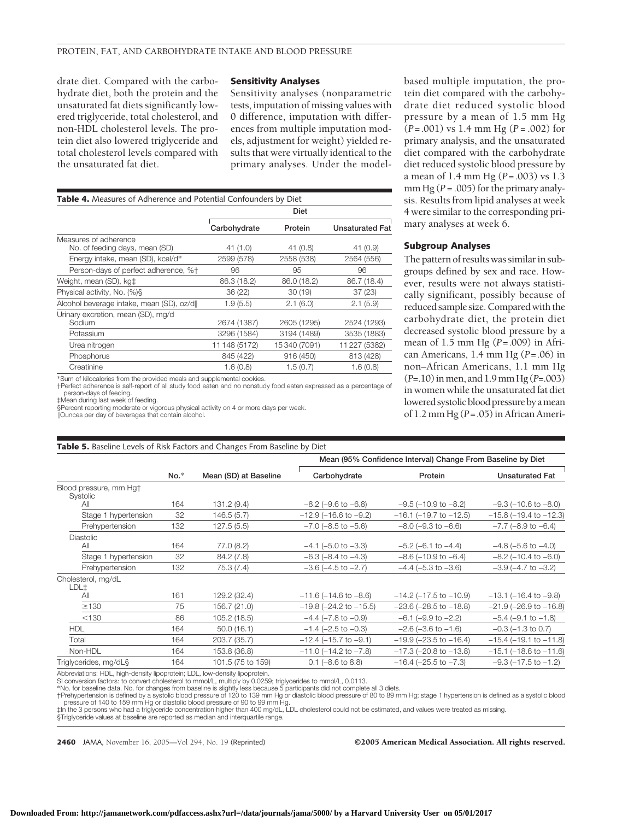drate diet. Compared with the carbohydrate diet, both the protein and the unsaturated fat diets significantly lowered triglyceride, total cholesterol, and non-HDL cholesterol levels. The protein diet also lowered triglyceride and total cholesterol levels compared with the unsaturated fat diet.

#### **Sensitivity Analyses**

Sensitivity analyses (nonparametric tests, imputation of missing values with 0 difference, imputation with differences from multiple imputation models, adjustment for weight) yielded results that were virtually identical to the primary analyses. Under the model-

| <b>Table 4.</b> Measures of Adherence and Potential Confounders by Diet |               |              |                        |  |  |
|-------------------------------------------------------------------------|---------------|--------------|------------------------|--|--|
|                                                                         | <b>Diet</b>   |              |                        |  |  |
|                                                                         | Carbohydrate  | Protein      | <b>Unsaturated Fat</b> |  |  |
| Measures of adherence                                                   |               |              |                        |  |  |
| No. of feeding days, mean (SD)                                          | 41 (1.0)      | 41(0.8)      | 41 (0.9)               |  |  |
| Energy intake, mean (SD), kcal/d*                                       | 2599 (578)    | 2558 (538)   | 2564 (556)             |  |  |
| Person-days of perfect adherence, %†                                    | 96            | 95           | 96                     |  |  |
| Weight, mean (SD), kg <sup>+</sup>                                      | 86.3 (18.2)   | 86.0 (18.2)  | 86.7 (18.4)            |  |  |
| Physical activity, No. (%)\$                                            | 36 (22)       | 30(19)       | 37(23)                 |  |  |
| Alcohol beverage intake, mean (SD), oz/d                                | 1.9(5.5)      | 2.1(6.0)     | 2.1(5.9)               |  |  |
| Urinary excretion, mean (SD), mg/d                                      |               |              |                        |  |  |
| Sodium                                                                  | 2674 (1387)   | 2605 (1295)  | 2524 (1293)            |  |  |
| Potassium                                                               | 3296 (1584)   | 3194 (1489)  | 3535 (1883)            |  |  |
| Urea nitrogen                                                           | 11 148 (5172) | 15340 (7091) | 11 227 (5382)          |  |  |
| Phosphorus                                                              | 845 (422)     | 916 (450)    | 813 (428)              |  |  |
| Creatinine                                                              | 1.6(0.8)      | 1.5(0.7)     | 1.6(0.8)               |  |  |

\*Sum of kilocalories from the provided meals and supplemental cookies. †Perfect adherence is self-report of all study food eaten and no nonstudy food eaten expressed as a percentage of person-days of feeding.

‡Mean during last week of feeding. §Percent reporting moderate or vigorous physical activity on 4 or more days per week.

**Table 5.** Baseline Levels of Risk Factors and Changes From Baseline by Diet

Ounces per day of beverages that contain alcohol.

based multiple imputation, the protein diet compared with the carbohydrate diet reduced systolic blood pressure by a mean of 1.5 mm Hg (*P*=.001) vs 1.4 mm Hg (*P* = .002) for primary analysis, and the unsaturated diet compared with the carbohydrate diet reduced systolic blood pressure by a mean of 1.4 mm Hg (*P*=.003) vs 1.3 mm Hg  $(P = .005)$  for the primary analysis. Results from lipid analyses at week 4 were similar to the corresponding primary analyses at week 6.

#### **Subgroup Analyses**

The pattern of results was similar in subgroups defined by sex and race. However, results were not always statistically significant, possibly because of reduced sample size.Compared with the carbohydrate diet, the protein diet decreased systolic blood pressure by a mean of 1.5 mm Hg (*P*=.009) in African Americans, 1.4 mm Hg (*P*=.06) in non–African Americans, 1.1 mm Hg (*P*=.10)inmen, and 1.9mm Hg (*P*=.003) in women while the unsaturated fat diet lowered systolic blood pressure by a mean of 1.2 mm Hg (*P*=.05) in African Ameri-

|                                    |        |                       | Mean (95% Confidence Interval) Change From Baseline by Diet |                                |                                |  |
|------------------------------------|--------|-----------------------|-------------------------------------------------------------|--------------------------------|--------------------------------|--|
|                                    | $No.*$ | Mean (SD) at Baseline | Carbohydrate                                                | Protein                        | <b>Unsaturated Fat</b>         |  |
| Blood pressure, mm Hat<br>Systolic |        |                       |                                                             |                                |                                |  |
| All                                | 164    | 131.2 (9.4)           | $-8.2$ ( $-9.6$ to $-6.8$ )                                 | $-9.5$ ( $-10.9$ to $-8.2$ )   | $-9.3$ ( $-10.6$ to $-8.0$ )   |  |
| Stage 1 hypertension               | 32     | 146.5(5.7)            | $-12.9$ ( $-16.6$ to $-9.2$ )                               | $-16.1$ ( $-19.7$ to $-12.5$ ) | $-15.8$ ( $-19.4$ to $-12.3$ ) |  |
| Prehypertension                    | 132    | 127.5(5.5)            | $-7.0$ ( $-8.5$ to $-5.6$ )                                 | $-8.0$ ( $-9.3$ to $-6.6$ )    | $-7.7$ ( $-8.9$ to $-6.4$ )    |  |
| <b>Diastolic</b><br>All            | 164    | 77.0 (8.2)            | $-4.1$ ( $-5.0$ to $-3.3$ )                                 | $-5.2$ (-6.1 to $-4.4$ )       | $-4.8$ ( $-5.6$ to $-4.0$ )    |  |
| Stage 1 hypertension               | 32     | 84.2 (7.8)            | $-6.3$ ( $-8.4$ to $-4.3$ )                                 | $-8.6$ ( $-10.9$ to $-6.4$ )   | $-8.2$ ( $-10.4$ to $-6.0$ )   |  |
| Prehypertension                    | 132    | 75.3 (7.4)            | $-3.6$ ( $-4.5$ to $-2.7$ )                                 | $-4.4$ ( $-5.3$ to $-3.6$ )    | $-3.9$ ( $-4.7$ to $-3.2$ )    |  |
| Cholesterol, mg/dL<br>LDL‡         |        |                       |                                                             |                                |                                |  |
| All                                | 161    | 129.2 (32.4)          | $-11.6$ ( $-14.6$ to $-8.6$ )                               | $-14.2$ ( $-17.5$ to $-10.9$ ) | $-13.1$ ( $-16.4$ to $-9.8$ )  |  |
| $\geq$ 130                         | 75     | 156.7 (21.0)          | $-19.8$ ( $-24.2$ to $-15.5$ )                              | $-23.6$ ( $-28.5$ to $-18.8$ ) | $-21.9$ ( $-26.9$ to $-16.8$ ) |  |
| < 130                              | 86     | 105.2 (18.5)          | $-4.4$ ( $-7.8$ to $-0.9$ )                                 | $-6.1$ ( $-9.9$ to $-2.2$ )    | $-5.4$ ( $-9.1$ to $-1.8$ )    |  |
| <b>HDL</b>                         | 164    | 50.0(16.1)            | $-1.4$ ( $-2.5$ to $-0.3$ )                                 | $-2.6$ ( $-3.6$ to $-1.6$ )    | $-0.3$ ( $-1.3$ to 0.7)        |  |
| Total                              | 164    | 203.7 (35.7)          | $-12.4$ ( $-15.7$ to $-9.1$ )                               | $-19.9$ ( $-23.5$ to $-16.4$ ) | $-15.4$ ( $-19.1$ to $-11.8$ ) |  |
| Non-HDL                            | 164    | 153.8 (36.8)          | $-11.0$ ( $-14.2$ to $-7.8$ )                               | $-17.3$ ( $-20.8$ to $-13.8$ ) | $-15.1$ ( $-18.6$ to $-11.6$ ) |  |
| Triglycerides, mg/dL§              | 164    | 101.5 (75 to 159)     | $0.1$ (-8.6 to 8.8)                                         | $-16.4$ ( $-25.5$ to $-7.3$ )  | $-9.3$ ( $-17.5$ to $-1.2$ )   |  |

Abbreviations: HDL, high-density lipoprotein; LDL, low-density lipoprotein.<br>SI conversion factors: to convert cholesterol to mmol/L, multiply by 0.0259; triglycerides to mmol/L, 0.0113.<br>\*No. for baseline data. No. for chan

†Prehypertension is defined by a systolic blood pressure of 120 to 139 mm Hg or diastolic blood pressure of 80 to 89 mm Hg; stage 1 hypertension is defined as a systolic blood<br>pressure of 140 to 159 mm Hg or diastolic blo

§Triglyceride values at baseline are reported as median and interquartile range.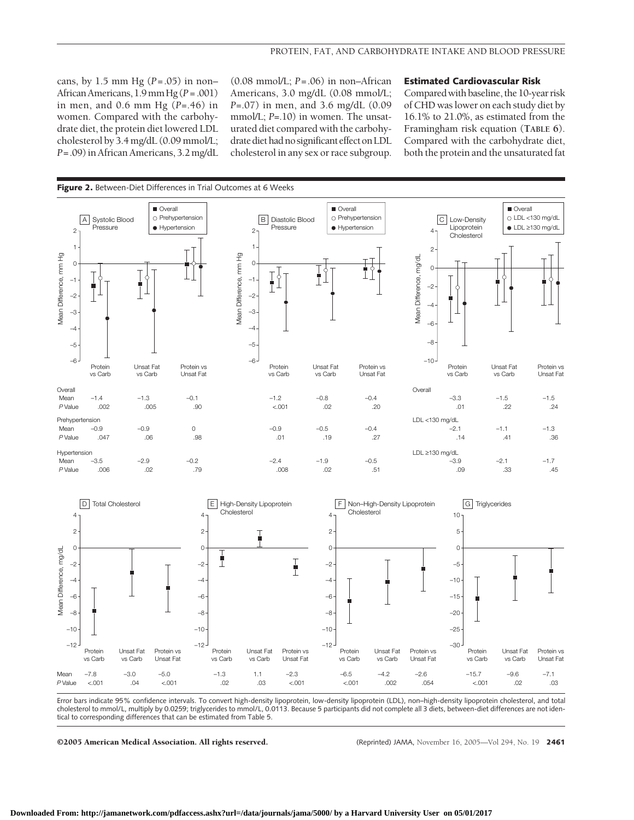cans, by 1.5 mm Hg (*P*=.05) in non– AfricanAmericans, 1.9mmHg (*P* = .001) in men, and 0.6 mm Hg (*P*=.46) in women. Compared with the carbohydrate diet, the protein diet lowered LDL cholesterol by 3.4 mg/dL (0.09 mmol/L; *P*=.09)in African Americans, 3.2 mg/dL (0.08 mmol/L; *P*=.06) in non–African Americans, 3.0 mg/dL (0.08 mmol/L; *P*=.07) in men, and 3.6 mg/dL (0.09 mmol/L; *P*=.10) in women. The unsaturated diet compared with the carbohydrate diet had no significant effect on LDL cholesterol in any sex or race subgroup.

#### **Estimated Cardiovascular Risk**

Comparedwith baseline, the 10-year risk of CHD was lower on each study diet by 16.1% to 21.0%, as estimated from the Framingham risk equation (**TABLE 6**). Compared with the carbohydrate diet, both the protein and the unsaturated fat



Error bars indicate 95% confidence intervals. To convert high-density lipoprotein, low-density lipoprotein (LDL), non–high-density lipoprotein cholesterol, and total cholesterol to mmol/L, multiply by 0.0259; triglycerides to mmol/L, 0.0113. Because 5 participants did not complete all 3 diets, between-diet differences are not identical to corresponding differences that can be estimated from Table 5.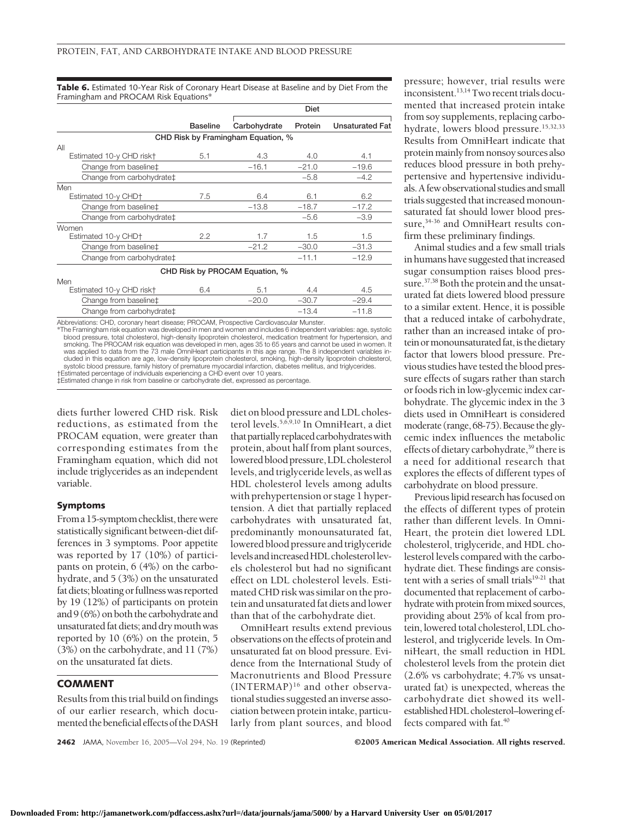**Table 6.** Estimated 10-Year Risk of Coronary Heart Disease at Baseline and by Diet From the Framingham and PROCAM Risk Equations\*

|                                   |                 |                                    | Diet    |                        |  |
|-----------------------------------|-----------------|------------------------------------|---------|------------------------|--|
|                                   | <b>Baseline</b> | Carbohydrate                       | Protein | <b>Unsaturated Fat</b> |  |
|                                   |                 | CHD Risk by Framingham Equation, % |         |                        |  |
| All                               |                 |                                    |         |                        |  |
| Estimated 10-y CHD risk+          | 5.1             | 4.3                                | 4.0     | 4.1                    |  |
| Change from baseline‡             |                 | $-16.1$                            | $-21.0$ | $-19.6$                |  |
| Change from carbohydrate‡         |                 |                                    | $-5.8$  | $-4.2$                 |  |
| Men                               |                 |                                    |         |                        |  |
| Estimated 10-y CHD+               | 7.5             | 6.4                                | 6.1     | 6.2                    |  |
| Change from baseline‡             |                 | $-13.8$                            | $-18.7$ | $-17.2$                |  |
| Change from carbohydrate‡         |                 |                                    | $-5.6$  | $-3.9$                 |  |
| Women                             |                 |                                    |         |                        |  |
| Estimated 10-y CHD+               | $2.2^{\circ}$   | 1.7                                | 1.5     | 1.5                    |  |
| Change from baseline <sup>+</sup> |                 | $-21.2$                            | $-30.0$ | $-31.3$                |  |
| Change from carbohydrate‡         |                 |                                    | $-11.1$ | $-12.9$                |  |
|                                   |                 | CHD Risk by PROCAM Equation, %     |         |                        |  |
| Men                               |                 |                                    |         |                        |  |
| Estimated 10-y CHD risk+          | 6.4             | 5.1                                | 4.4     | 4.5                    |  |
| Change from baseline‡             |                 | $-20.0$                            | $-30.7$ | $-29.4$                |  |
| Change from carbohydrate‡         |                 |                                    | $-13.4$ | $-11.8$                |  |

Abbreviations: CHD, coronary heart disease; PROCAM, Prospective Cardiovascular Munster.

The Framingham risk equation was developed in men and women and includes 6 independent variables: age, systolic\*\*<br>blood pressure, total cholesterol, high-density lipoprotein cholesterol, medication treatment for hypertensi was applied to data from the 73 male OmniHeart participants in this age range. The 8 independent variables in-<br>cluded in this equation are age, low-density lipoprotein cholesterol, smoking, high-density lipoprotein cholest systolic blood pressure, family history of premature myocardial infarction, diabetes mellitus, and triglycerides.

†Estimated percentage of individuals experiencing a CHD event over 10 years. ‡Estimated change in risk from baseline or carbohydrate diet, expressed as percentage.

diets further lowered CHD risk. Risk reductions, as estimated from the PROCAM equation, were greater than corresponding estimates from the Framingham equation, which did not include triglycerides as an independent variable.

#### **Symptoms**

Froma 15-symptomchecklist, therewere statistically significant between-diet differences in 3 symptoms. Poor appetite was reported by 17 (10%) of participants on protein, 6 (4%) on the carbohydrate, and 5 (3%) on the unsaturated fat diets; bloating or fullness was reported by 19 (12%) of participants on protein and 9 (6%) on both the carbohydrate and unsaturated fat diets; and dry mouth was reported by 10 (6%) on the protein, 5 (3%) on the carbohydrate, and 11 (7%) on the unsaturated fat diets.

### **COMMENT**

Results from this trial build on findings of our earlier research, which documented the beneficial effects of the DASH diet on blood pressure and LDL cholesterol levels.5,6,9,10 In OmniHeart, a diet that partially replaced carbohydrates with protein, about half from plant sources, lowered blood pressure, LDL cholesterol levels, and triglyceride levels, as well as HDL cholesterol levels among adults with prehypertension or stage 1 hypertension. A diet that partially replaced carbohydrates with unsaturated fat, predominantly monounsaturated fat, lowered blood pressure and triglyceride levelsandincreasedHDLcholesterollevels cholesterol but had no significant effect on LDL cholesterol levels. Estimated CHD risk was similar on the protein and unsaturated fat diets and lower than that of the carbohydrate diet.

OmniHeart results extend previous observations on the effects of protein and unsaturated fat on blood pressure. Evidence from the International Study of Macronutrients and Blood Pressure (INTERMAP)16 and other observational studies suggested an inverse association between protein intake, particularly from plant sources, and blood

pressure; however, trial results were inconsistent.<sup>13,14</sup> Two recent trials documented that increased protein intake from soy supplements, replacing carbohydrate, lowers blood pressure.<sup>15,32,33</sup> Results from OmniHeart indicate that protein mainly from nonsoy sources also reduces blood pressure in both prehypertensive and hypertensive individuals.Afew observational studies and small trials suggested that increased monounsaturated fat should lower blood pressure,<sup>34-36</sup> and OmniHeart results confirm these preliminary findings.

Animal studies and a few small trials in humans have suggested that increased sugar consumption raises blood pressure.37,38 Both the protein and the unsaturated fat diets lowered blood pressure to a similar extent. Hence, it is possible that a reduced intake of carbohydrate, rather than an increased intake of protein or monounsaturated fat, is the dietary factor that lowers blood pressure. Previous studies have tested the blood pressure effects of sugars rather than starch or foods rich in low-glycemic index carbohydrate. The glycemic index in the 3 diets used in OmniHeart is considered moderate (range, 68-75). Because the glycemic index influences the metabolic effects of dietary carbohydrate,<sup>39</sup> there is a need for additional research that explores the effects of different types of carbohydrate on blood pressure.

Previous lipid research has focused on the effects of different types of protein rather than different levels. In Omni-Heart, the protein diet lowered LDL cholesterol, triglyceride, and HDL cholesterol levels compared with the carbohydrate diet. These findings are consistent with a series of small trials<sup>19-21</sup> that documented that replacement of carbohydrate with protein from mixed sources, providing about 25% of kcal from protein, lowered total cholesterol, LDL cholesterol, and triglyceride levels. In OmniHeart, the small reduction in HDL cholesterol levels from the protein diet (2.6% vs carbohydrate; 4.7% vs unsaturated fat) is unexpected, whereas the carbohydrate diet showed its wellestablished HDL cholesterol–lowering effects compared with fat.40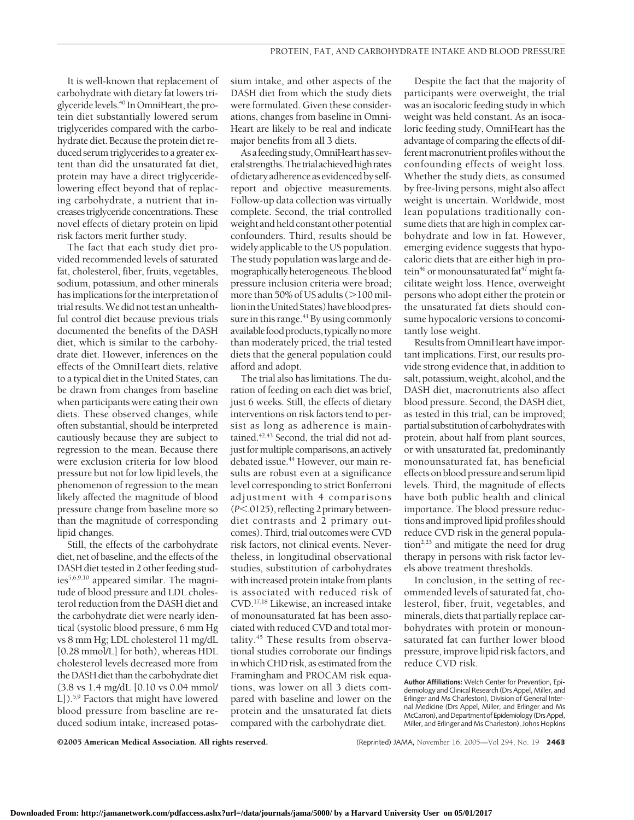It is well-known that replacement of carbohydrate with dietary fat lowers triglyceridelevels.40 In OmniHeart, the protein diet substantially lowered serum triglycerides compared with the carbohydrate diet. Because the protein diet reduced serum triglycerides to a greater extent than did the unsaturated fat diet, protein may have a direct triglyceridelowering effect beyond that of replacing carbohydrate, a nutrient that increases triglyceride concentrations. These novel effects of dietary protein on lipid risk factors merit further study.

The fact that each study diet provided recommended levels of saturated fat, cholesterol, fiber, fruits, vegetables, sodium, potassium, and other minerals has implications for the interpretation of trial results.We did not test an unhealthful control diet because previous trials documented the benefits of the DASH diet, which is similar to the carbohydrate diet. However, inferences on the effects of the OmniHeart diets, relative to a typical diet in the United States, can be drawn from changes from baseline when participants were eating their own diets. These observed changes, while often substantial, should be interpreted cautiously because they are subject to regression to the mean. Because there were exclusion criteria for low blood pressure but not for low lipid levels, the phenomenon of regression to the mean likely affected the magnitude of blood pressure change from baseline more so than the magnitude of corresponding lipid changes.

Still, the effects of the carbohydrate diet, net of baseline, and the effects of the DASH diet tested in 2 other feeding studies5,6,9,10 appeared similar. The magnitude of blood pressure and LDL cholesterol reduction from the DASH diet and the carbohydrate diet were nearly identical (systolic blood pressure, 6 mm Hg vs 8 mm Hg; LDL cholesterol 11 mg/dL [0.28 mmol/L] for both), whereas HDL cholesterol levels decreased more from the DASH diet than the carbohydrate diet (3.8 vs 1.4 mg/dL [0.10 vs 0.04 mmol/ L]).5,9 Factors that might have lowered blood pressure from baseline are reduced sodium intake, increased potassium intake, and other aspects of the DASH diet from which the study diets were formulated. Given these considerations, changes from baseline in Omni-Heart are likely to be real and indicate major benefits from all 3 diets.

Asafeeding study,OmniHearthas severalstrengths.The trialachievedhighrates of dietaryadherenceasevidenced by selfreport and objective measurements. Follow-up data collection was virtually complete. Second, the trial controlled weight and held constant other potential confounders. Third, results should be widely applicable to the US population. The study population was large and demographicallyheterogeneous.Theblood pressure inclusion criteria were broad; more than 50% of US adults (>100 million in the United States) have blood pressure in this range.<sup>41</sup> By using commonly availablefoodproducts, typicallynomore than moderately priced, the trial tested diets that the general population could afford and adopt.

The trial also has limitations. The duration of feeding on each diet was brief, just 6 weeks. Still, the effects of dietary interventions on risk factors tend to persist as long as adherence is maintained.<sup>42,43</sup> Second, the trial did not adjust for multiple comparisons, an actively debated issue.<sup>44</sup> However, our main results are robust even at a significance level corresponding to strict Bonferroni adjustment with 4 comparisons (*P*.0125), reflecting 2 primary betweendiet contrasts and 2 primary outcomes). Third, trial outcomes were CVD risk factors, not clinical events. Nevertheless, in longitudinal observational studies, substitution of carbohydrates with increased protein intake from plants is associated with reduced risk of CVD.17,18 Likewise, an increased intake of monounsaturated fat has been associated with reduced CVD and total mortality.<sup>45</sup> These results from observational studies corroborate our findings in which CHD risk, as estimated from the Framingham and PROCAM risk equations, was lower on all 3 diets compared with baseline and lower on the protein and the unsaturated fat diets compared with the carbohydrate diet.

Despite the fact that the majority of participants were overweight, the trial was an isocaloric feeding study in which weight was held constant. As an isocaloric feeding study, OmniHeart has the advantage of comparing the effects of different macronutrient profiles without the confounding effects of weight loss. Whether the study diets, as consumed by free-living persons, might also affect weight is uncertain. Worldwide, most lean populations traditionally consume diets that are high in complex carbohydrate and low in fat. However, emerging evidence suggests that hypocaloric diets that are either high in protein<sup>46</sup> or monounsaturated fat<sup>47</sup> might facilitate weight loss. Hence, overweight persons who adopt either the protein or the unsaturated fat diets should consume hypocaloric versions to concomitantly lose weight.

Results from OmniHeart have important implications. First, our results provide strong evidence that, in addition to salt, potassium, weight, alcohol, and the DASH diet, macronutrients also affect blood pressure. Second, the DASH diet, as tested in this trial, can be improved; partial substitution of carbohydrateswith protein, about half from plant sources, or with unsaturated fat, predominantly monounsaturated fat, has beneficial effects on blood pressure and serumlipid levels. Third, the magnitude of effects have both public health and clinical importance. The blood pressure reductions and improved lipid profiles should reduce CVD risk in the general population<sup>2,23</sup> and mitigate the need for drug therapy in persons with risk factor levels above treatment thresholds.

In conclusion, in the setting of recommended levels of saturated fat, cholesterol, fiber, fruit, vegetables, and minerals, diets that partially replace carbohydrates with protein or monounsaturated fat can further lower blood pressure, improve lipid risk factors, and reduce CVD risk.

**Author Affiliations:** Welch Center for Prevention, Epi-<br>demiology and Clinical Research (Drs Appel, Miller, and Erlinger and Ms Charleston), Division of General Internal Medicine (Drs Appel, Miller, and Erlinger and Ms McCarron), and Department of Epidemiology (Drs Appel, Miller, and Erlinger and Ms Charleston), Johns Hopkins